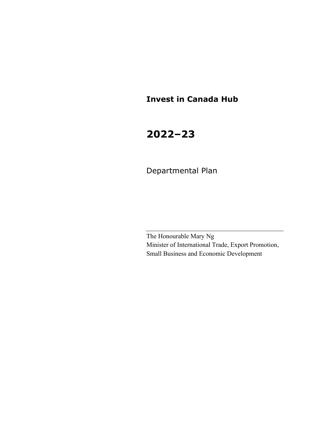# **Invest in Canada Hub**

# **2022–23**

Departmental Plan

The Honourable Mary Ng Minister of International Trade, Export Promotion, Small Business and Economic Development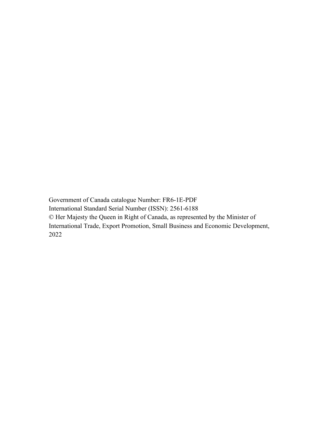Government of Canada catalogue Number: FR6-1E-PDF International Standard Serial Number (ISSN): 2561-6188 © Her Majesty the Queen in Right of Canada, as represented by the Minister of International Trade, Export Promotion, Small Business and Economic Development, 2022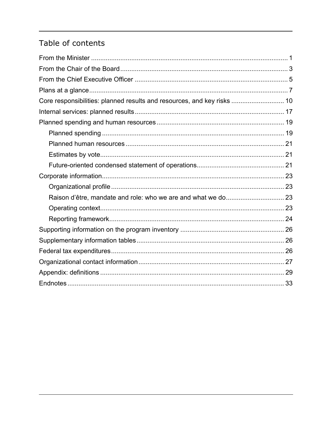# Table of contents

| Core responsibilities: planned results and resources, and key risks  10 |  |
|-------------------------------------------------------------------------|--|
|                                                                         |  |
|                                                                         |  |
|                                                                         |  |
|                                                                         |  |
|                                                                         |  |
|                                                                         |  |
|                                                                         |  |
|                                                                         |  |
|                                                                         |  |
|                                                                         |  |
|                                                                         |  |
|                                                                         |  |
|                                                                         |  |
|                                                                         |  |
|                                                                         |  |
|                                                                         |  |
|                                                                         |  |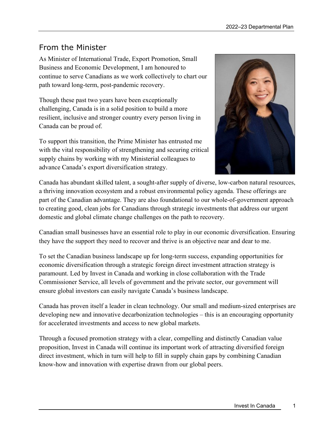# From the Minister

As Minister of International Trade, Export Promotion, Small Business and Economic Development, I am honoured to continue to serve Canadians as we work collectively to chart our path toward long-term, post-pandemic recovery.

Though these past two years have been exceptionally challenging, Canada is in a solid position to build a more resilient, inclusive and stronger country every person living in Canada can be proud of.

To support this transition, the Prime Minister has entrusted me with the vital responsibility of strengthening and securing critical supply chains by working with my Ministerial colleagues to advance Canada's export diversification strategy.



Canada has abundant skilled talent, a sought-after supply of diverse, low-carbon natural resources, a thriving innovation ecosystem and a robust environmental policy agenda. These offerings are part of the Canadian advantage. They are also foundational to our whole-of-government approach to creating good, clean jobs for Canadians through strategic investments that address our urgent domestic and global climate change challenges on the path to recovery.

Canadian small businesses have an essential role to play in our economic diversification. Ensuring they have the support they need to recover and thrive is an objective near and dear to me.

To set the Canadian business landscape up for long-term success, expanding opportunities for economic diversification through a strategic foreign direct investment attraction strategy is paramount. Led by Invest in Canada and working in close collaboration with the Trade Commissioner Service, all levels of government and the private sector, our government will ensure global investors can easily navigate Canada's business landscape.

Canada has proven itself a leader in clean technology. Our small and medium-sized enterprises are developing new and innovative decarbonization technologies – this is an encouraging opportunity for accelerated investments and access to new global markets.

Through a focused promotion strategy with a clear, compelling and distinctly Canadian value proposition, Invest in Canada will continue its important work of attracting diversified foreign direct investment, which in turn will help to fill in supply chain gaps by combining Canadian know-how and innovation with expertise drawn from our global peers.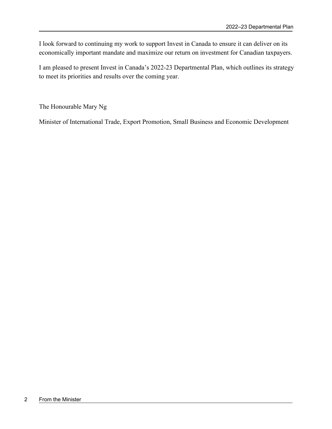I look forward to continuing my work to support Invest in Canada to ensure it can deliver on its economically important mandate and maximize our return on investment for Canadian taxpayers.

I am pleased to present Invest in Canada's 2022-23 Departmental Plan, which outlines its strategy to meet its priorities and results over the coming year.

The Honourable Mary Ng

Minister of International Trade, Export Promotion, Small Business and Economic Development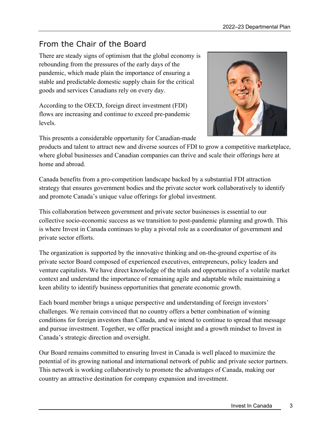# From the Chair of the Board

There are steady signs of optimism that the global economy is rebounding from the pressures of the early days of the pandemic, which made plain the importance of ensuring a stable and predictable domestic supply chain for the critical goods and services Canadians rely on every day.

According to the OECD, foreign direct investment (FDI) flows are increasing and continue to exceed pre-pandemic levels.



This presents a considerable opportunity for Canadian-made

products and talent to attract new and diverse sources of FDI to grow a competitive marketplace, where global businesses and Canadian companies can thrive and scale their offerings here at home and abroad.

Canada benefits from a pro-competition landscape backed by a substantial FDI attraction strategy that ensures government bodies and the private sector work collaboratively to identify and promote Canada's unique value offerings for global investment.

This collaboration between government and private sector businesses is essential to our collective socio-economic success as we transition to post-pandemic planning and growth. This is where Invest in Canada continues to play a pivotal role as a coordinator of government and private sector efforts.

The organization is supported by the innovative thinking and on-the-ground expertise of its private sector Board composed of experienced executives, entrepreneurs, policy leaders and venture capitalists. We have direct knowledge of the trials and opportunities of a volatile market context and understand the importance of remaining agile and adaptable while maintaining a keen ability to identify business opportunities that generate economic growth.

Each board member brings a unique perspective and understanding of foreign investors' challenges. We remain convinced that no country offers a better combination of winning conditions for foreign investors than Canada, and we intend to continue to spread that message and pursue investment. Together, we offer practical insight and a growth mindset to Invest in Canada's strategic direction and oversight.

Our Board remains committed to ensuring Invest in Canada is well placed to maximize the potential of its growing national and international network of public and private sector partners. This network is working collaboratively to promote the advantages of Canada, making our country an attractive destination for company expansion and investment.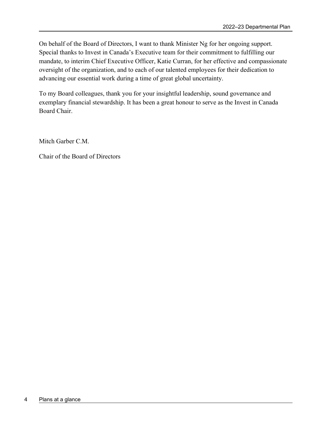On behalf of the Board of Directors, I want to thank Minister Ng for her ongoing support. Special thanks to Invest in Canada's Executive team for their commitment to fulfilling our mandate, to interim Chief Executive Officer, Katie Curran, for her effective and compassionate oversight of the organization, and to each of our talented employees for their dedication to advancing our essential work during a time of great global uncertainty.

To my Board colleagues, thank you for your insightful leadership, sound governance and exemplary financial stewardship. It has been a great honour to serve as the Invest in Canada Board Chair.

Mitch Garber C.M.

Chair of the Board of Directors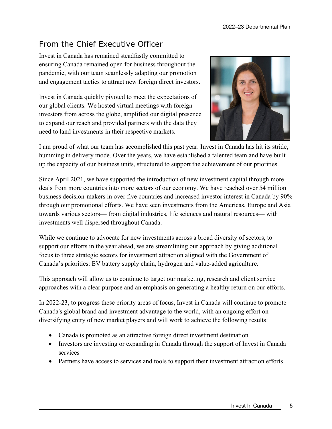# From the Chief Executive Officer

Invest in Canada has remained steadfastly committed to ensuring Canada remained open for business throughout the pandemic, with our team seamlessly adapting our promotion and engagement tactics to attract new foreign direct investors.

Invest in Canada quickly pivoted to meet the expectations of our global clients. We hosted virtual meetings with foreign investors from across the globe, amplified our digital presence to expand our reach and provided partners with the data they need to land investments in their respective markets.



I am proud of what our team has accomplished this past year. Invest in Canada has hit its stride, humming in delivery mode. Over the years, we have established a talented team and have built up the capacity of our business units, structured to support the achievement of our priorities.

Since April 2021, we have supported the introduction of new investment capital through more deals from more countries into more sectors of our economy. We have reached over 54 million business decision-makers in over five countries and increased investor interest in Canada by 90% through our promotional efforts. We have seen investments from the Americas, Europe and Asia towards various sectors— from digital industries, life sciences and natural resources— with investments well dispersed throughout Canada.

While we continue to advocate for new investments across a broad diversity of sectors, to support our efforts in the year ahead, we are streamlining our approach by giving additional focus to three strategic sectors for investment attraction aligned with the Government of Canada's priorities: EV battery supply chain, hydrogen and value-added agriculture.

This approach will allow us to continue to target our marketing, research and client service approaches with a clear purpose and an emphasis on generating a healthy return on our efforts.

In 2022-23, to progress these priority areas of focus, Invest in Canada will continue to promote Canada's global brand and investment advantage to the world, with an ongoing effort on diversifying entry of new market players and will work to achieve the following results:

- Canada is promoted as an attractive foreign direct investment destination
- Investors are investing or expanding in Canada through the support of Invest in Canada services
- Partners have access to services and tools to support their investment attraction efforts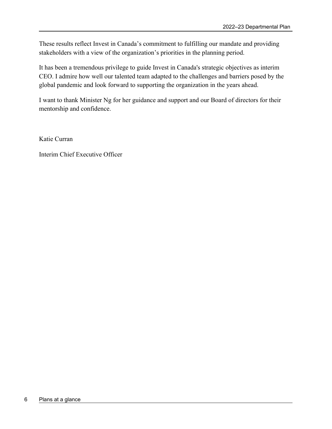These results reflect Invest in Canada's commitment to fulfilling our mandate and providing stakeholders with a view of the organization's priorities in the planning period.

It has been a tremendous privilege to guide Invest in Canada's strategic objectives as interim CEO. I admire how well our talented team adapted to the challenges and barriers posed by the global pandemic and look forward to supporting the organization in the years ahead.

I want to thank Minister Ng for her guidance and support and our Board of directors for their mentorship and confidence.

Katie Curran

Interim Chief Executive Officer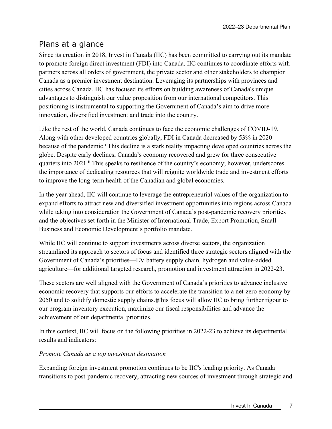### Plans at a glance

Since its creation in 2018, Invest in Canada (IIC) has been committed to carrying out its mandate to promote foreign direct investment (FDI) into Canada. IIC continues to coordinate efforts with partners across all orders of government, the private sector and other stakeholders to champion Canada as a premier investment destination. Leveraging its partnerships with provinces and cities across Canada, IIC has focused its efforts on building awareness of Canada's unique advantages to distinguish our value proposition from our international competitors. This positioning is instrumental to supporting the Government of Canada's aim to drive more innovation, diversified investment and trade into the country.

Like the rest of the world, Canada continues to face the economic challenges of COVID-19. Along with other developed countries globally, FDI in Canada decreased by 53% in 2020 because of the pandemic.<sup>i</sup> This decline is a stark reality impacting developed countries across the globe. Despite early declines, Canada's economy recovered and grew for three consecutive quarters into 2021.<sup>11</sup> This speaks to resilience of the country's economy; however, underscores the importance of dedicating resources that will reignite worldwide trade and investment efforts to improve the long-term health of the Canadian and global economies.

In the year ahead, IIC will continue to leverage the entrepreneurial values of the organization to expand efforts to attract new and diversified investment opportunities into regions across Canada while taking into consideration the Government of Canada's post-pandemic recovery priorities and the objectives set forth in the Minister of International Trade, Export Promotion, Small Business and Economic Development's portfolio mandate.

While IIC will continue to support investments across diverse sectors, the organization streamlined its approach to sectors of focus and identified three strategic sectors aligned with the Government of Canada's priorities—EV battery supply chain, hydrogen and value-added agriculture—for additional targeted research, promotion and investment attraction in 2022-23.

These sectors are well aligned with the Government of Canada's priorities to advance inclusive economic recovery that supports our efforts to accelerate the transition to a net-zero economy by 2050 and to solidify domestic supply chains. This focus will allow IIC to bring further rigour to our program inventory execution, maximize our fiscal responsibilities and advance the achievement of our departmental priorities.

In this context, IIC will focus on the following priorities in 2022-23 to achieve its departmental results and indicators:

### *Promote Canada as a top investment destination*

Expanding foreign investment promotion continues to be IIC's leading priority. As Canada transitions to post-pandemic recovery, attracting new sources of investment through strategic and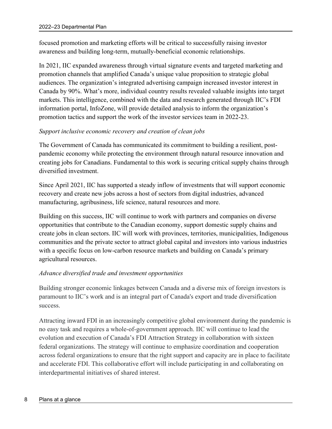focused promotion and marketing efforts will be critical to successfully raising investor awareness and building long-term, mutually-beneficial economic relationships.

In 2021, IIC expanded awareness through virtual signature events and targeted marketing and promotion channels that amplified Canada's unique value proposition to strategic global audiences. The organization's integrated advertising campaign increased investor interest in Canada by 90%. What's more, individual country results revealed valuable insights into target markets. This intelligence, combined with the data and research generated through IIC's FDI information portal, InfoZone, will provide detailed analysis to inform the organization's promotion tactics and support the work of the investor services team in 2022-23.

### *Support inclusive economic recovery and creation of clean jobs*

The Government of Canada has communicated its commitment to building a resilient, postpandemic economy while protecting the environment through natural resource innovation and creating jobs for Canadians. Fundamental to this work is securing critical supply chains through diversified investment.

Since April 2021, IIC has supported a steady inflow of investments that will support economic recovery and create new jobs across a host of sectors from digital industries, advanced manufacturing, agribusiness, life science, natural resources and more.

Building on this success, IIC will continue to work with partners and companies on diverse opportunities that contribute to the Canadian economy, support domestic supply chains and create jobs in clean sectors. IIC will work with provinces, territories, municipalities, Indigenous communities and the private sector to attract global capital and investors into various industries with a specific focus on low-carbon resource markets and building on Canada's primary agricultural resources.

#### *Advance diversified trade and investment opportunities*

Building stronger economic linkages between Canada and a diverse mix of foreign investors is paramount to IIC's work and is an integral part of Canada's export and trade diversification success.

Attracting inward FDI in an increasingly competitive global environment during the pandemic is no easy task and requires a whole-of-government approach. IIC will continue to lead the evolution and execution of Canada's FDI Attraction Strategy in collaboration with sixteen federal organizations. The strategy will continue to emphasize coordination and cooperation across federal organizations to ensure that the right support and capacity are in place to facilitate and accelerate FDI. This collaborative effort will include participating in and collaborating on interdepartmental initiatives of shared interest.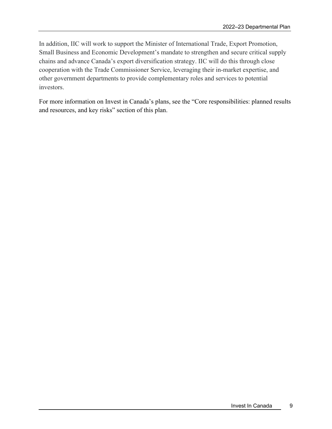In addition, IIC will work to support the Minister of International Trade, Export Promotion, Small Business and Economic Development's mandate to strengthen and secure critical supply chains and advance Canada's export diversification strategy. IIC will do this through close cooperation with the Trade Commissioner Service, leveraging their in-market expertise, and other government departments to provide complementary roles and services to potential investors.

For more information on Invest in Canada's plans, see the "Core responsibilities: planned results and resources, and key risks" section of this plan.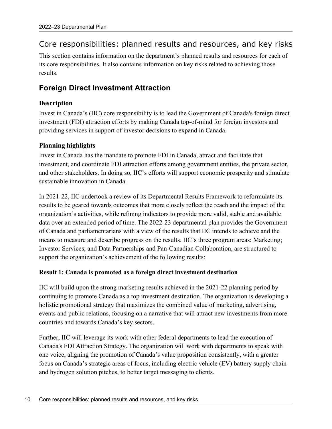### Core responsibilities: planned results and resources, and key risks

This section contains information on the department's planned results and resources for each of its core responsibilities. It also contains information on key risks related to achieving those results.

### **Foreign Direct Investment Attraction**

### **Description**

Invest in Canada's (IIC) core responsibility is to lead the Government of Canada's foreign direct investment (FDI) attraction efforts by making Canada top-of-mind for foreign investors and providing services in support of investor decisions to expand in Canada.

### **Planning highlights**

Invest in Canada has the mandate to promote FDI in Canada, attract and facilitate that investment, and coordinate FDI attraction efforts among government entities, the private sector, and other stakeholders. In doing so, IIC's efforts will support economic prosperity and stimulate sustainable innovation in Canada.

In 2021-22, IIC undertook a review of its Departmental Results Framework to reformulate its results to be geared towards outcomes that more closely reflect the reach and the impact of the organization's activities, while refining indicators to provide more valid, stable and available data over an extended period of time. The 2022-23 departmental plan provides the Government of Canada and parliamentarians with a view of the results that IIC intends to achieve and the means to measure and describe progress on the results. IIC's three program areas: Marketing; Investor Services; and Data Partnerships and Pan-Canadian Collaboration, are structured to support the organization's achievement of the following results:

#### **Result 1: Canada is promoted as a foreign direct investment destination**

IIC will build upon the strong marketing results achieved in the 2021-22 planning period by continuing to promote Canada as a top investment destination. The organization is developing a holistic promotional strategy that maximizes the combined value of marketing, advertising, events and public relations, focusing on a narrative that will attract new investments from more countries and towards Canada's key sectors.

Further, IIC will leverage its work with other federal departments to lead the execution of Canada's FDI Attraction Strategy. The organization will work with departments to speak with one voice, aligning the promotion of Canada's value proposition consistently, with a greater focus on Canada's strategic areas of focus, including electric vehicle (EV) battery supply chain and hydrogen solution pitches, to better target messaging to clients.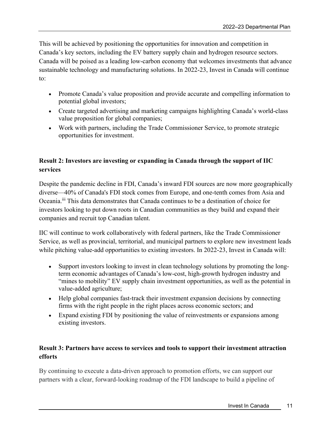This will be achieved by positioning the opportunities for innovation and competition in Canada's key sectors, including the EV battery supply chain and hydrogen resource sectors. Canada will be poised as a leading low-carbon economy that welcomes investments that advance sustainable technology and manufacturing solutions. In 2022-23, Invest in Canada will continue to:

- Promote Canada's value proposition and provide accurate and compelling information to potential global investors;
- Create targeted advertising and marketing campaigns highlighting Canada's world-class value proposition for global companies;
- Work with partners, including the Trade Commissioner Service, to promote strategic opportunities for investment.

### **Result 2: Investors are investing or expanding in Canada through the support of IIC services**

Despite the pandemic decline in FDI, Canada's inward FDI sources are now more geographically diverse—40% of Canada's FDI stock comes from Europe, and one-tenth comes from Asia and Oceania.iii This data demonstrates that Canada continues to be a destination of choice for investors looking to put down roots in Canadian communities as they build and expand their companies and recruit top Canadian talent.

IIC will continue to work collaboratively with federal partners, like the Trade Commissioner Service, as well as provincial, territorial, and municipal partners to explore new investment leads while pitching value-add opportunities to existing investors. In 2022-23, Invest in Canada will:

- Support investors looking to invest in clean technology solutions by promoting the longterm economic advantages of Canada's low-cost, high-growth hydrogen industry and "mines to mobility" EV supply chain investment opportunities, as well as the potential in value-added agriculture;
- Help global companies fast-track their investment expansion decisions by connecting firms with the right people in the right places across economic sectors; and
- Expand existing FDI by positioning the value of reinvestments or expansions among existing investors.

### **Result 3: Partners have access to services and tools to support their investment attraction efforts**

By continuing to execute a data-driven approach to promotion efforts, we can support our partners with a clear, forward-looking roadmap of the FDI landscape to build a pipeline of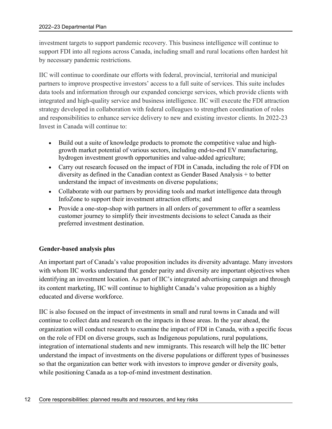investment targets to support pandemic recovery. This business intelligence will continue to support FDI into all regions across Canada, including small and rural locations often hardest hit by necessary pandemic restrictions.

IIC will continue to coordinate our efforts with federal, provincial, territorial and municipal partners to improve prospective investors' access to a full suite of services. This suite includes data tools and information through our expanded concierge services, which provide clients with integrated and high-quality service and business intelligence. IIC will execute the FDI attraction strategy developed in collaboration with federal colleagues to strengthen coordination of roles and responsibilities to enhance service delivery to new and existing investor clients. In 2022-23 Invest in Canada will continue to:

- Build out a suite of knowledge products to promote the competitive value and highgrowth market potential of various sectors, including end-to-end EV manufacturing, hydrogen investment growth opportunities and value-added agriculture;
- Carry out research focused on the impact of FDI in Canada, including the role of FDI on diversity as defined in the Canadian context as Gender Based Analysis + to better understand the impact of investments on diverse populations;
- Collaborate with our partners by providing tools and market intelligence data through InfoZone to support their investment attraction efforts; and
- Provide a one-stop-shop with partners in all orders of government to offer a seamless customer journey to simplify their investments decisions to select Canada as their preferred investment destination.

#### **Gender-based analysis plus**

An important part of Canada's value proposition includes its diversity advantage. Many investors with whom IIC works understand that gender parity and diversity are important objectives when identifying an investment location. As part of IIC's integrated advertising campaign and through its content marketing, IIC will continue to highlight Canada's value proposition as a highly educated and diverse workforce.

IIC is also focused on the impact of investments in small and rural towns in Canada and will continue to collect data and research on the impacts in those areas. In the year ahead, the organization will conduct research to examine the impact of FDI in Canada, with a specific focus on the role of FDI on diverse groups, such as Indigenous populations, rural populations, integration of international students and new immigrants. This research will help the IIC better understand the impact of investments on the diverse populations or different types of businesses so that the organization can better work with investors to improve gender or diversity goals, while positioning Canada as a top-of-mind investment destination.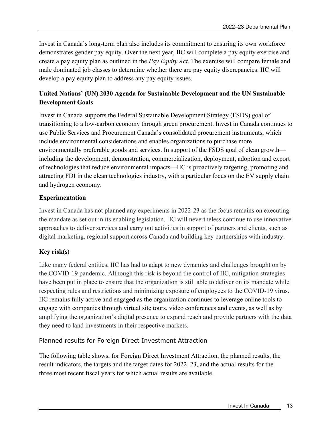Invest in Canada's long-term plan also includes its commitment to ensuring its own workforce demonstrates gender pay equity. Over the next year, IIC will complete a pay equity exercise and create a pay equity plan as outlined in the *Pay Equity Act*. The exercise will compare female and male dominated job classes to determine whether there are pay equity discrepancies. IIC will develop a pay equity plan to address any pay equity issues.

### **United Nations' (UN) 2030 Agenda for Sustainable Development and the UN Sustainable Development Goals**

Invest in Canada supports the Federal Sustainable Development Strategy (FSDS) goal of transitioning to a low‑carbon economy through green procurement. Invest in Canada continues to use Public Services and Procurement Canada's consolidated procurement instruments, which include environmental considerations and enables organizations to purchase more environmentally preferable goods and services. In support of the FSDS goal of clean growth including the development, demonstration, commercialization, deployment, adoption and export of technologies that reduce environmental impacts—IIC is proactively targeting, promoting and attracting FDI in the clean technologies industry, with a particular focus on the EV supply chain and hydrogen economy.

### **Experimentation**

Invest in Canada has not planned any experiments in 2022-23 as the focus remains on executing the mandate as set out in its enabling legislation. IIC will nevertheless continue to use innovative approaches to deliver services and carry out activities in support of partners and clients, such as digital marketing, regional support across Canada and building key partnerships with industry.

### **Key risk(s)**

Like many federal entities, IIC has had to adapt to new dynamics and challenges brought on by the COVID-19 pandemic. Although this risk is beyond the control of IIC, mitigation strategies have been put in place to ensure that the organization is still able to deliver on its mandate while respecting rules and restrictions and minimizing exposure of employees to the COVID-19 virus. IIC remains fully active and engaged as the organization continues to leverage online tools to engage with companies through virtual site tours, video conferences and events, as well as by amplifying the organization's digital presence to expand reach and provide partners with the data they need to land investments in their respective markets.

### Planned results for Foreign Direct Investment Attraction

The following table shows, for Foreign Direct Investment Attraction, the planned results, the result indicators, the targets and the target dates for 2022–23, and the actual results for the three most recent fiscal years for which actual results are available.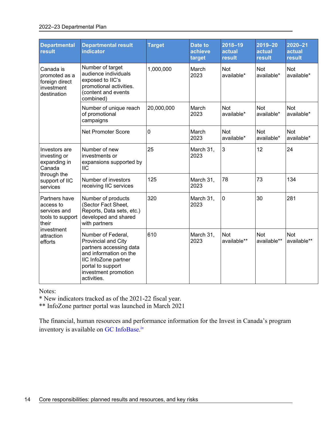| <b>Departmental</b><br>result                                             | <b>Departmental result</b><br><b>indicator</b>                                                                                                                                     | <b>Target</b> | <b>Date to</b><br>achieve<br>target | $2018 - 19$<br>actual<br>result | 2019-20<br>actual<br>result | 2020-21<br>actual<br>result |
|---------------------------------------------------------------------------|------------------------------------------------------------------------------------------------------------------------------------------------------------------------------------|---------------|-------------------------------------|---------------------------------|-----------------------------|-----------------------------|
| Canada is<br>promoted as a<br>foreign direct<br>investment<br>destination | Number of target<br>audience individuals<br>exposed to IIC's<br>promotional activities.<br>(content and events<br>combined)                                                        | 1,000,000     | March<br>2023                       | Not<br>available*               | <b>Not</b><br>available*    | Not<br>available*           |
|                                                                           | Number of unique reach<br>of promotional<br>campaigns                                                                                                                              | 20,000,000    | March<br>2023                       | <b>Not</b><br>available*        | <b>Not</b><br>available*    | <b>Not</b><br>available*    |
|                                                                           | <b>Net Promoter Score</b>                                                                                                                                                          | 0             | March<br>2023                       | <b>Not</b><br>available*        | <b>Not</b><br>available*    | Not<br>available*           |
| Investors are<br>investing or<br>expanding in<br>Canada                   | Number of new<br>investments or<br>expansions supported by<br><b>IIC</b>                                                                                                           | 25            | March 31,<br>2023                   | 3                               | 12                          | 24                          |
| through the<br>support of IIC<br>services                                 | Number of investors<br>receiving IIC services                                                                                                                                      | 125           | March 31,<br>2023                   | 78                              | 73                          | 134                         |
| Partners have<br>access to<br>services and<br>tools to support<br>their   | Number of products<br>(Sector Fact Sheet,<br>Reports, Data sets, etc.)<br>developed and shared<br>with partners                                                                    | 320           | March 31,<br>2023                   | $\overline{0}$                  | 30                          | 281                         |
| investment<br>attraction<br>efforts                                       | Number of Federal,<br>Provincial and City<br>partners accessing data<br>and information on the<br>IIC InfoZone partner<br>portal to support<br>investment promotion<br>activities. | 610           | March 31,<br>2023                   | <b>Not</b><br>available**       | <b>Not</b><br>available**   | <b>Not</b><br>available**   |

Notes:

\* New indicators tracked as of the 2021-22 fiscal year.

\*\* InfoZone partner portal was launched in March 2021

The financial, human resources and performance information for the Invest in Canada's program inventory is available on GC InfoBase.<sup>iv</sup>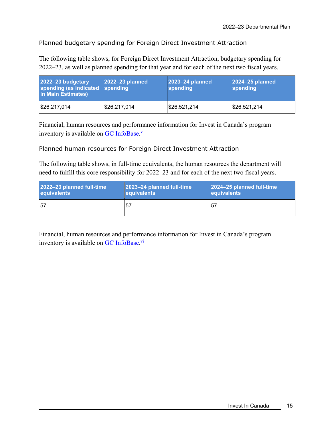### Planned budgetary spending for Foreign Direct Investment Attraction

The following table shows, for Foreign Direct Investment Attraction, budgetary spending for 2022–23, as well as planned spending for that year and for each of the next two fiscal years.

| 2022-23 budgetary<br>spending (as indicated spending<br>in Main Estimates) | $2022 - 23$ planned | 2023-24 planned<br>spending | 2024-25 planned<br>spending |
|----------------------------------------------------------------------------|---------------------|-----------------------------|-----------------------------|
| \$26,217,014                                                               | \$26,217,014        | \$26,521,214                | \$26,521,214                |

Financial, human resources and performance information for Invest in Canada's program inventory is available on GC InfoBase.<sup>v</sup>

Planned human resources for Foreign Direct Investment Attraction

The following table shows, in full-time equivalents, the human resources the department will need to fulfill this core responsibility for 2022–23 and for each of the next two fiscal years.

| 2022-23 planned full-time | 2023-24 planned full-time | 2024-25 planned full-time |
|---------------------------|---------------------------|---------------------------|
| equivalents               | equivalents               | equivalents               |
| 157                       | .57                       | $5^{\circ}$               |

Financial, human resources and performance information for Invest in Canada's program inventory is available on GC InfoBase.<sup>vi</sup>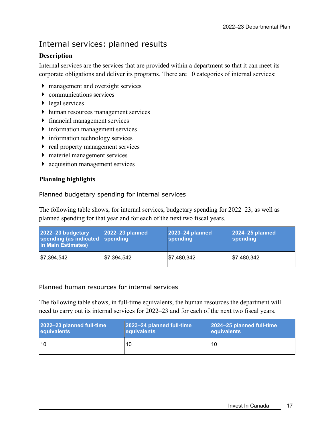# Internal services: planned results

### **Description**

Internal services are the services that are provided within a department so that it can meet its corporate obligations and deliver its programs. There are 10 categories of internal services:

- management and oversight services
- communications services
- $\blacktriangleright$  legal services
- human resources management services
- financial management services
- information management services
- $\triangleright$  information technology services
- $\triangleright$  real property management services
- materiel management services
- acquisition management services

### **Planning highlights**

### Planned budgetary spending for internal services

The following table shows, for internal services, budgetary spending for 2022–23, as well as planned spending for that year and for each of the next two fiscal years.

| 2022-23 budgetary<br>spending (as indicated<br>in Main Estimates) | 2022-23 planned<br><b>spending</b> | 2023-24 planned<br>spending | 2024-25 planned<br>spending |
|-------------------------------------------------------------------|------------------------------------|-----------------------------|-----------------------------|
| \$7,394,542                                                       | \$7,394,542                        | \$7,480,342                 | \$7,480,342                 |

#### Planned human resources for internal services

The following table shows, in full-time equivalents, the human resources the department will need to carry out its internal services for 2022–23 and for each of the next two fiscal years.

| 2022-23 planned full-time | 2023-24 planned full-time | 2024-25 planned full-time |
|---------------------------|---------------------------|---------------------------|
| equivalents               | equivalents               | equivalents               |
| 10                        | 10                        | 10                        |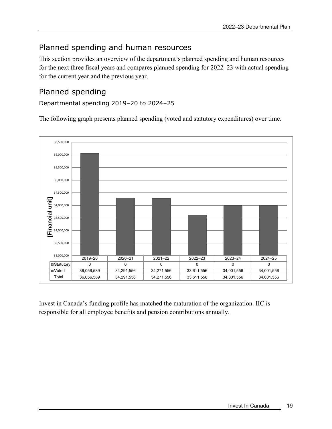# Planned spending and human resources

This section provides an overview of the department's planned spending and human resources for the next three fiscal years and compares planned spending for 2022–23 with actual spending for the current year and the previous year.

### Planned spending

### Departmental spending 2019–20 to 2024–25

The following graph presents planned spending (voted and statutory expenditures) over time.



Invest in Canada's funding profile has matched the maturation of the organization. IIC is responsible for all employee benefits and pension contributions annually.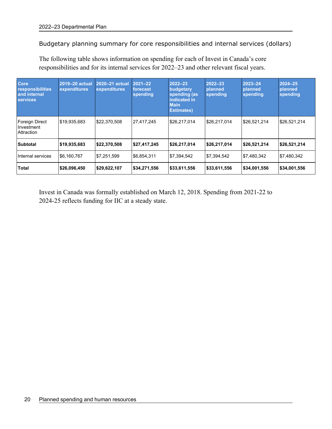Budgetary planning summary for core responsibilities and internal services (dollars)

The following table shows information on spending for each of Invest in Canada's core responsibilities and for its internal services for 2022–23 and other relevant fiscal years.

| <b>Core</b><br>responsibilities<br>and internal<br><b>services</b> | 2019-20 actual<br>expenditures | 2020-21 actual<br>expenditures | $2021 - 22$<br>forecast<br>spending | $2022 - 23$<br>budgetary<br>spending (as<br>indicated in<br><b>Main</b><br><b>Estimates)</b> | 2022-23<br>planned<br>spending | 2023-24<br>planned<br>spending | $2024 - 25$<br>planned<br>spending |
|--------------------------------------------------------------------|--------------------------------|--------------------------------|-------------------------------------|----------------------------------------------------------------------------------------------|--------------------------------|--------------------------------|------------------------------------|
| Foreign Direct<br>Investment<br><b>Attraction</b>                  | \$19,935,683                   | \$22,370,508                   | 27,417,245                          | \$26,217,014                                                                                 | \$26.217.014                   | \$26,521,214                   | \$26,521,214                       |
| <b>Subtotal</b>                                                    | \$19,935,683                   | \$22,370,508                   | \$27,417,245                        | \$26,217,014                                                                                 | \$26,217,014                   | \$26,521,214                   | \$26,521,214                       |
| Internal services                                                  | \$6.160.767                    | \$7,251,599                    | 56.854.311                          | \$7.394.542                                                                                  | \$7.394.542                    | \$7.480.342                    | \$7.480.342                        |
| <b>Total</b>                                                       | \$26,096,450                   | \$29,622,107                   | \$34,271,556                        | \$33,611,556                                                                                 | \$33,611,556                   | \$34,001,556                   | \$34,001,556                       |

Invest in Canada was formally established on March 12, 2018. Spending from 2021-22 to 2024-25 reflects funding for IIC at a steady state.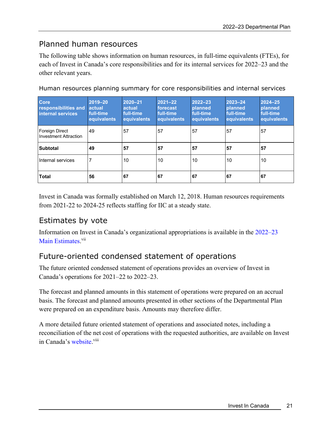### Planned human resources

The following table shows information on human resources, in full-time equivalents (FTEs), for each of Invest in Canada's core responsibilities and for its internal services for 2022–23 and the other relevant years.

| <b>Core</b><br>responsibilities and<br>internal services | 2019-20<br>actual<br>full-time<br>equivalents | 2020-21<br>actual<br>full-time<br>equivalents | $2021 - 22$<br>forecast<br>full-time<br>equivalents | $2022 - 23$<br><b>planned</b><br>full-time<br>equivalents | 2023-24<br><b>planned</b><br>full-time<br>equivalents | $2024 - 25$<br><b>planned</b><br>full-time<br>equivalents |
|----------------------------------------------------------|-----------------------------------------------|-----------------------------------------------|-----------------------------------------------------|-----------------------------------------------------------|-------------------------------------------------------|-----------------------------------------------------------|
| Foreign Direct<br><b>Investment Attraction</b>           | 49                                            | 57                                            | 57                                                  | 57                                                        | 57                                                    | 57                                                        |
| <b>Subtotal</b>                                          | 49                                            | 57                                            | 57                                                  | 57                                                        | 57                                                    | 57                                                        |
| Internal services                                        |                                               | 10                                            | 10                                                  | 10                                                        | 10                                                    | 10                                                        |
| <b>Total</b>                                             | 56                                            | 67                                            | 67                                                  | 67                                                        | 67                                                    | 67                                                        |

Human resources planning summary for core responsibilities and internal services

Invest in Canada was formally established on March 12, 2018. Human resources requirements from 2021-22 to 2024-25 reflects staffing for IIC at a steady state.

### Estimates by vote

Information on Invest in Canada's organizational appropriations is available in the 2022–23 Main Estimates.<sup>vii</sup>

# Future-oriented condensed statement of operations

The future oriented condensed statement of operations provides an overview of Invest in Canada's operations for 2021–22 to 2022–23.

The forecast and planned amounts in this statement of operations were prepared on an accrual basis. The forecast and planned amounts presented in other sections of the Departmental Plan were prepared on an expenditure basis. Amounts may therefore differ.

A more detailed future oriented statement of operations and associated notes, including a reconciliation of the net cost of operations with the requested authorities, are available on Invest in Canada's website.<sup>viii</sup>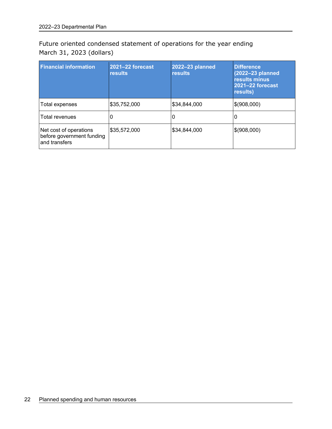Future oriented condensed statement of operations for the year ending March 31, 2023 (dollars)

| <b>Financial information</b>                                         | <b>2021-22 forecast</b><br><b>results</b> | 2022-23 planned<br><b>results</b> | <b>Difference</b><br>(2022-23 planned<br>results minus<br>2021-22 forecast<br>results) |
|----------------------------------------------------------------------|-------------------------------------------|-----------------------------------|----------------------------------------------------------------------------------------|
| Total expenses                                                       | \$35,752,000                              | \$34,844,000                      | \$(908,000)                                                                            |
| Total revenues                                                       | Ü                                         | U                                 |                                                                                        |
| Net cost of operations<br>before government funding<br>and transfers | \$35,572,000                              | \$34,844,000                      | \$(908,000)                                                                            |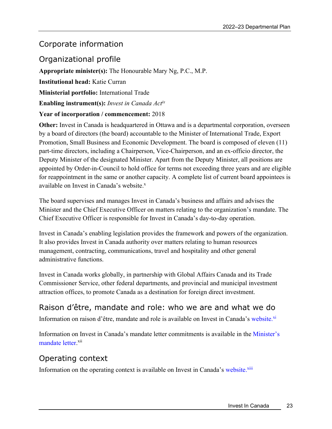### Corporate information

### Organizational profile

**Appropriate minister(s):** The Honourable Mary Ng, P.C., M.P.

**Institutional head:** Katie Curran

**Ministerial portfolio:** International Trade

**Enabling instrument(s):** *Invest in Canada Actix*

#### **Year of incorporation / commencement:** 2018

**Other:** Invest in Canada is headquartered in Ottawa and is a departmental corporation, overseen by a board of directors (the board) accountable to the Minister of International Trade, Export Promotion, Small Business and Economic Development. The board is composed of eleven (11) part-time directors, including a Chairperson, Vice-Chairperson, and an ex-officio director, the Deputy Minister of the designated Minister. Apart from the Deputy Minister, all positions are appointed by Order-in-Council to hold office for terms not exceeding three years and are eligible for reappointment in the same or another capacity. A complete list of current board appointees is available on Invest in Canada's website.<sup>x</sup>

The board supervises and manages Invest in Canada's business and affairs and advises the Minister and the Chief Executive Officer on matters relating to the organization's mandate. The Chief Executive Officer is responsible for Invest in Canada's day-to-day operation.

Invest in Canada's enabling legislation provides the framework and powers of the organization. It also provides Invest in Canada authority over matters relating to human resources management, contracting, communications, travel and hospitality and other general administrative functions.

Invest in Canada works globally, in partnership with Global Affairs Canada and its Trade Commissioner Service, other federal departments, and provincial and municipal investment attraction offices, to promote Canada as a destination for foreign direct investment.

# Raison d'être, mandate and role: who we are and what we do

Information on raison d'être, mandate and role is available on Invest in Canada's website.<sup>xi</sup>

Information on Invest in Canada's mandate letter commitments is available in the Minister's mandate letter.<sup>xii</sup>

### Operating context

Information on the operating context is available on Invest in Canada's website.<sup>xiii</sup>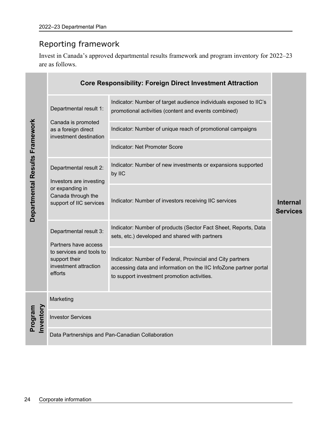# Reporting framework

Invest in Canada's approved departmental results framework and program inventory for 2022–23 are as follows.

|                                |                                                                               | <b>Core Responsibility: Foreign Direct Investment Attraction</b>                                                                                                               |                                    |
|--------------------------------|-------------------------------------------------------------------------------|--------------------------------------------------------------------------------------------------------------------------------------------------------------------------------|------------------------------------|
|                                | Departmental result 1:                                                        | Indicator: Number of target audience individuals exposed to IIC's<br>promotional activities (content and events combined)                                                      |                                    |
|                                | Canada is promoted<br>as a foreign direct<br>investment destination           | Indicator: Number of unique reach of promotional campaigns                                                                                                                     |                                    |
|                                |                                                                               | Indicator: Net Promoter Score                                                                                                                                                  |                                    |
| Departmental Results Framework | Departmental result 2:<br>Investors are investing                             | Indicator: Number of new investments or expansions supported<br>by IIC                                                                                                         |                                    |
|                                | or expanding in<br>Canada through the<br>support of IIC services              | Indicator: Number of investors receiving IIC services                                                                                                                          | <b>Internal</b><br><b>Services</b> |
|                                | Departmental result 3:<br>Partners have access                                | Indicator: Number of products (Sector Fact Sheet, Reports, Data<br>sets, etc.) developed and shared with partners                                                              |                                    |
|                                | to services and tools to<br>support their<br>investment attraction<br>efforts | Indicator: Number of Federal, Provincial and City partners<br>accessing data and information on the IIC InfoZone partner portal<br>to support investment promotion activities. |                                    |
|                                | Marketing                                                                     |                                                                                                                                                                                |                                    |
| Inventory<br>Program           | <b>Investor Services</b>                                                      |                                                                                                                                                                                |                                    |
|                                |                                                                               | Data Partnerships and Pan-Canadian Collaboration                                                                                                                               |                                    |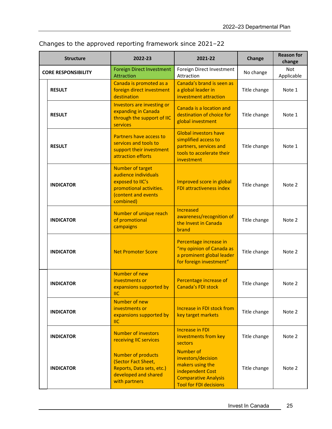| <b>Structure</b>           | 2022-23                                                                                                                            | 2021-22                                                                                                                                        | Change       | <b>Reason for</b><br>change |
|----------------------------|------------------------------------------------------------------------------------------------------------------------------------|------------------------------------------------------------------------------------------------------------------------------------------------|--------------|-----------------------------|
| <b>CORE RESPONSIBILITY</b> | <b>Foreign Direct Investment</b><br><b>Attraction</b>                                                                              | Foreign Direct Investment<br>Attraction                                                                                                        | No change    | <b>Not</b><br>Applicable    |
| <b>RESULT</b>              | Canada is promoted as a<br>foreign direct investment<br>destination                                                                | Canada's brand is seen as<br>a global leader in<br>investment attraction                                                                       | Title change | Note 1                      |
| <b>RESULT</b>              | Investors are investing or<br>expanding in Canada<br>through the support of IIC<br>services                                        | Canada is a location and<br>destination of choice for<br>global investment                                                                     | Title change | Note 1                      |
| <b>RESULT</b>              | Partners have access to<br>services and tools to<br>support their investment<br>attraction efforts                                 | <b>Global investors have</b><br>simplified access to<br>partners, services and<br>tools to accelerate their<br>investment                      | Title change | Note 1                      |
| <b>INDICATOR</b>           | <b>Number of target</b><br>audience individuals<br>exposed to IIC's<br>promotional activities.<br>(content and events<br>combined) | Improved score in global<br><b>FDI attractiveness index</b>                                                                                    | Title change | Note 2                      |
| <b>INDICATOR</b>           | Number of unique reach<br>of promotional<br>campaigns                                                                              | <b>Increased</b><br>awareness/recognition of<br>the Invest in Canada<br>brand                                                                  | Title change | Note 2                      |
| <b>INDICATOR</b>           | <b>Net Promoter Score</b>                                                                                                          | Percentage increase in<br>"my opinion of Canada as<br>a prominent global leader<br>for foreign investment"                                     | Title change | Note 2                      |
| <b>INDICATOR</b>           | Number of new<br>investments or<br>expansions supported by<br><b>IIC</b>                                                           | Percentage increase of<br>Canada's FDI stock                                                                                                   | Title change | Note 2                      |
| <b>INDICATOR</b>           | Number of new<br>investments or<br>expansions supported by<br>$\overline{\mathsf{H}}$ C                                            | Increase in FDI stock from<br>key target markets                                                                                               | Title change | Note 2                      |
| <b>INDICATOR</b>           | <b>Number of investors</b><br>receiving IIC services                                                                               | <b>Increase in FDI</b><br>investments from key<br>sectors                                                                                      | Title change | Note 2                      |
| <b>INDICATOR</b>           | <b>Number of products</b><br>(Sector Fact Sheet,<br>Reports, Data sets, etc.)<br>developed and shared<br>with partners             | <b>Number of</b><br>investors/decision<br>makers using the<br>independent Cost<br><b>Comparative Analysis</b><br><b>Tool for FDI decisions</b> | Title change | Note 2                      |

Changes to the approved reporting framework since 2021–22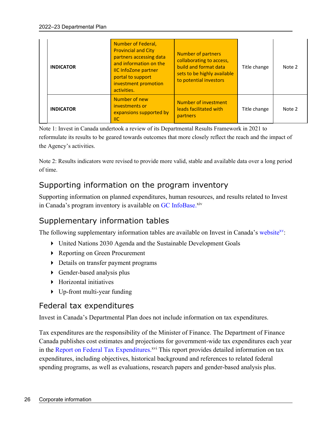| <b>INDICATOR</b> | Number of Federal,<br><b>Provincial and City</b><br>partners accessing data<br>and information on the<br><b>IIC InfoZone partner</b><br>portal to support<br>investment promotion<br>activities. | <b>Number of partners</b><br>collaborating to access,<br>build and format data<br>sets to be highly available<br>to potential investors | Title change | Note 2 |
|------------------|--------------------------------------------------------------------------------------------------------------------------------------------------------------------------------------------------|-----------------------------------------------------------------------------------------------------------------------------------------|--------------|--------|
| <b>INDICATOR</b> | Number of new<br>investments or<br>expansions supported by<br>IIС                                                                                                                                | Number of investment<br>leads facilitated with<br>partners                                                                              | Title change | Note 2 |

Note 1: Invest in Canada undertook a review of its Departmental Results Framework in 2021 to reformulate its results to be geared towards outcomes that more closely reflect the reach and the impact of the Agency's activities.

Note 2: Results indicators were revised to provide more valid, stable and available data over a long period of time.

# Supporting information on the program inventory

Supporting information on planned expenditures, human resources, and results related to Invest in Canada's program inventory is available on GC InfoBase.xiv

# Supplementary information tables

The following supplementary information tables are available on Invest in Canada's website<sup>xy</sup>:

- United Nations 2030 Agenda and the Sustainable Development Goals
- ▶ Reporting on Green Procurement
- Details on transfer payment programs
- ▶ Gender-based analysis plus
- Horizontal initiatives
- Up-front multi-year funding

### Federal tax expenditures

Invest in Canada's Departmental Plan does not include information on tax expenditures.

Tax expenditures are the responsibility of the Minister of Finance. The Department of Finance Canada publishes cost estimates and projections for government-wide tax expenditures each year in the Report on Federal Tax Expenditures.<sup>xvi</sup> This report provides detailed information on tax expenditures, including objectives, historical background and references to related federal spending programs, as well as evaluations, research papers and gender-based analysis plus.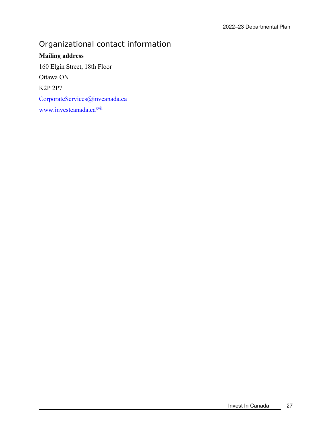# Organizational contact information

**Mailing address**  160 Elgin Street, 18th Floor Ottawa ON K2P 2P7 CorporateServices@invcanada.ca www.investcanada.ca<sup>xvii</sup>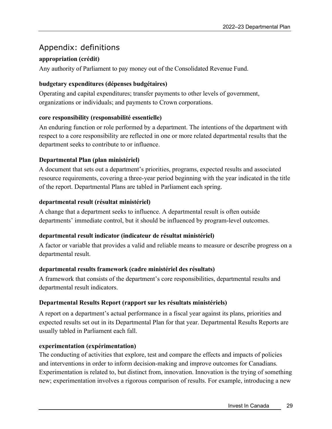# Appendix: definitions

### **appropriation (crédit)**

Any authority of Parliament to pay money out of the Consolidated Revenue Fund.

### **budgetary expenditures (dépenses budgétaires)**

Operating and capital expenditures; transfer payments to other levels of government, organizations or individuals; and payments to Crown corporations.

### **core responsibility (responsabilité essentielle)**

An enduring function or role performed by a department. The intentions of the department with respect to a core responsibility are reflected in one or more related departmental results that the department seeks to contribute to or influence.

### **Departmental Plan (plan ministériel)**

A document that sets out a department's priorities, programs, expected results and associated resource requirements, covering a three-year period beginning with the year indicated in the title of the report. Departmental Plans are tabled in Parliament each spring.

### **departmental result (résultat ministériel)**

A change that a department seeks to influence. A departmental result is often outside departments' immediate control, but it should be influenced by program-level outcomes.

### **departmental result indicator (indicateur de résultat ministériel)**

A factor or variable that provides a valid and reliable means to measure or describe progress on a departmental result.

#### **departmental results framework (cadre ministériel des résultats)**

A framework that consists of the department's core responsibilities, departmental results and departmental result indicators.

### **Departmental Results Report (rapport sur les résultats ministériels)**

A report on a department's actual performance in a fiscal year against its plans, priorities and expected results set out in its Departmental Plan for that year. Departmental Results Reports are usually tabled in Parliament each fall.

#### **experimentation (expérimentation)**

The conducting of activities that explore, test and compare the effects and impacts of policies and interventions in order to inform decision-making and improve outcomes for Canadians. Experimentation is related to, but distinct from, innovation. Innovation is the trying of something new; experimentation involves a rigorous comparison of results. For example, introducing a new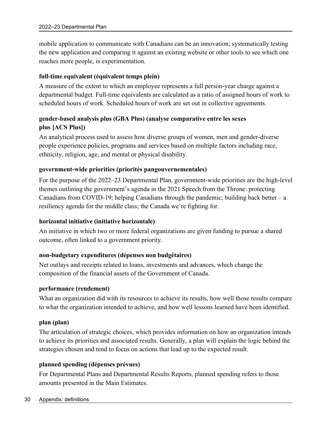mobile application to communicate with Canadians can be an innovation; systematically testing the new application and comparing it against an existing website or other tools to see which one reaches more people, is experimentation.

### **full-time equivalent (équivalent temps plein)**

A measure of the extent to which an employee represents a full person-year charge against a departmental budget. Full-time equivalents are calculated as a ratio of assigned hours of work to scheduled hours of work. Scheduled hours of work are set out in collective agreements.

### **gender-based analysis plus (GBA Plus) (analyse comparative entre les sexes plus [ACS Plus])**

An analytical process used to assess how diverse groups of women, men and gender-diverse people experience policies, programs and services based on multiple factors including race, ethnicity, religion, age, and mental or physical disability.

### **government-wide priorities (priorités pangouvernementales)**

For the purpose of the 2022–23 Departmental Plan, government-wide priorities are the high-level themes outlining the government's agenda in the 2021 Speech from the Throne: protecting Canadians from COVID-19; helping Canadians through the pandemic; building back better  $-a$ resiliency agenda for the middle class; the Canada we're fighting for.

### **horizontal initiative (initiative horizontale)**

An initiative in which two or more federal organizations are given funding to pursue a shared outcome, often linked to a government priority.

### **non-budgetary expenditures (dépenses non budgétaires)**

Net outlays and receipts related to loans, investments and advances, which change the composition of the financial assets of the Government of Canada.

#### **performance (rendement)**

What an organization did with its resources to achieve its results, how well those results compare to what the organization intended to achieve, and how well lessons learned have been identified.

#### **plan (plan)**

The articulation of strategic choices, which provides information on how an organization intends to achieve its priorities and associated results. Generally, a plan will explain the logic behind the strategies chosen and tend to focus on actions that lead up to the expected result.

### **planned spending (dépenses prévues)**

For Departmental Plans and Departmental Results Reports, planned spending refers to those amounts presented in the Main Estimates.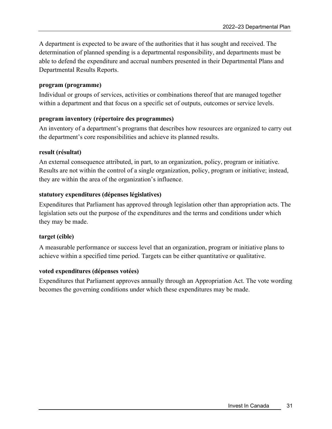A department is expected to be aware of the authorities that it has sought and received. The determination of planned spending is a departmental responsibility, and departments must be able to defend the expenditure and accrual numbers presented in their Departmental Plans and Departmental Results Reports.

#### **program (programme)**

Individual or groups of services, activities or combinations thereof that are managed together within a department and that focus on a specific set of outputs, outcomes or service levels.

#### **program inventory (répertoire des programmes)**

An inventory of a department's programs that describes how resources are organized to carry out the department's core responsibilities and achieve its planned results.

#### **result (résultat)**

An external consequence attributed, in part, to an organization, policy, program or initiative. Results are not within the control of a single organization, policy, program or initiative; instead, they are within the area of the organization's influence.

#### **statutory expenditures (dépenses législatives)**

Expenditures that Parliament has approved through legislation other than appropriation acts. The legislation sets out the purpose of the expenditures and the terms and conditions under which they may be made.

#### **target (cible)**

A measurable performance or success level that an organization, program or initiative plans to achieve within a specified time period. Targets can be either quantitative or qualitative.

#### **voted expenditures (dépenses votées)**

Expenditures that Parliament approves annually through an Appropriation Act. The vote wording becomes the governing conditions under which these expenditures may be made.